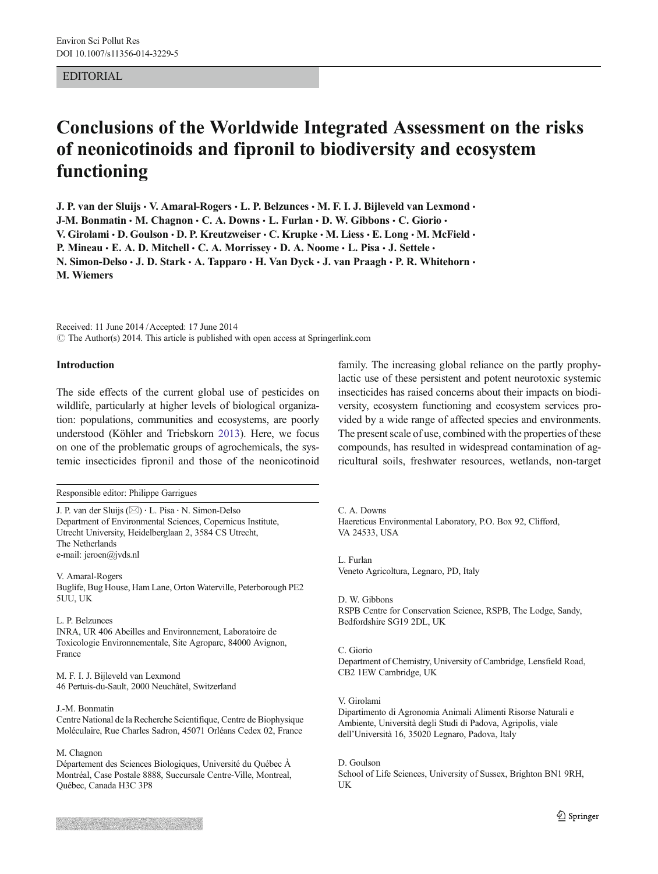## EDITORIAL

# Conclusions of the Worldwide Integrated Assessment on the risks of neonicotinoids and fipronil to biodiversity and ecosystem functioning

J. P. van der Sluijs • V. Amaral-Rogers • L. P. Belzunces • M. F. I. J. Bijleveld van Lexmond •

J-M. Bonmatin · M. Chagnon · C. A. Downs · L. Furlan · D. W. Gibbons · C. Giorio «

V. Girolami · D. Goulson · D. P. Kreutzweiser · C. Krupke · M. Liess · E. Long · M. McField ·

P. Mineau  $\cdot$  E. A. D. Mitchell  $\cdot$  C. A. Morrissey  $\cdot$  D. A. Noome  $\cdot$  L. Pisa  $\cdot$  J. Settele  $\cdot$ 

N. Simon-Delso  $\cdot$  J. D. Stark  $\cdot$  A. Tapparo  $\cdot$  H. Van Dyck  $\cdot$  J. van Praagh  $\cdot$  P. R. Whitehorn  $\cdot$ 

M. Wiemers

Received: 11 June 2014 /Accepted: 17 June 2014

 $\odot$  The Author(s) 2014. This article is published with open access at Springerlink.com

### Introduction

The side effects of the current global use of pesticides on wildlife, particularly at higher levels of biological organization: populations, communities and ecosystems, are poorly understood (Köhler and Triebskorn [2013](#page-6-0)). Here, we focus on one of the problematic groups of agrochemicals, the systemic insecticides fipronil and those of the neonicotinoid

Responsible editor: Philippe Garrigues

J. P. van der Sluijs (\*) : L. Pisa : N. Simon-Delso Department of Environmental Sciences, Copernicus Institute, Utrecht University, Heidelberglaan 2, 3584 CS Utrecht, The Netherlands e-mail: jeroen@jvds.nl

V. Amaral-Rogers Buglife, Bug House, Ham Lane, Orton Waterville, Peterborough PE2 5UU, UK

### L. P. Belzunces

INRA, UR 406 Abeilles and Environnement, Laboratoire de Toxicologie Environnementale, Site Agroparc, 84000 Avignon, France

M. F. I. J. Bijleveld van Lexmond 46 Pertuis-du-Sault, 2000 Neuchâtel, Switzerland

#### J.<M. Bonmatin

Centre National de la Recherche Scientifique, Centre de Biophysique Moléculaire, Rue Charles Sadron, 45071 Orléans Cedex 02, France

## M. Chagnon

Département des Sciences Biologiques, Université du Québec À Montréal, Case Postale 8888, Succursale Centre-Ville, Montreal, Québec, Canada H3C 3P8

family. The increasing global reliance on the partly prophylactic use of these persistent and potent neurotoxic systemic insecticides has raised concerns about their impacts on biodiversity, ecosystem functioning and ecosystem services provided by a wide range of affected species and environments. The present scale of use, combined with the properties of these compounds, has resulted in widespread contamination of agricultural soils, freshwater resources, wetlands, non-target

C. A. Downs Haereticus Environmental Laboratory, P.O. Box 92, Clifford, VA 24533, USA

L. Furlan Veneto Agricoltura, Legnaro, PD, Italy

D. W. Gibbons RSPB Centre for Conservation Science, RSPB, The Lodge, Sandy, Bedfordshire SG19 2DL, UK

#### C. Giorio

Department of Chemistry, University of Cambridge, Lensfield Road, CB2 1EW Cambridge, UK

#### V. Girolami

Dipartimento di Agronomia Animali Alimenti Risorse Naturali e Ambiente, Università degli Studi di Padova, Agripolis, viale dell'Università 16, 35020 Legnaro, Padova, Italy

D. Goulson School of Life Sciences, University of Sussex, Brighton BN1 9RH, UK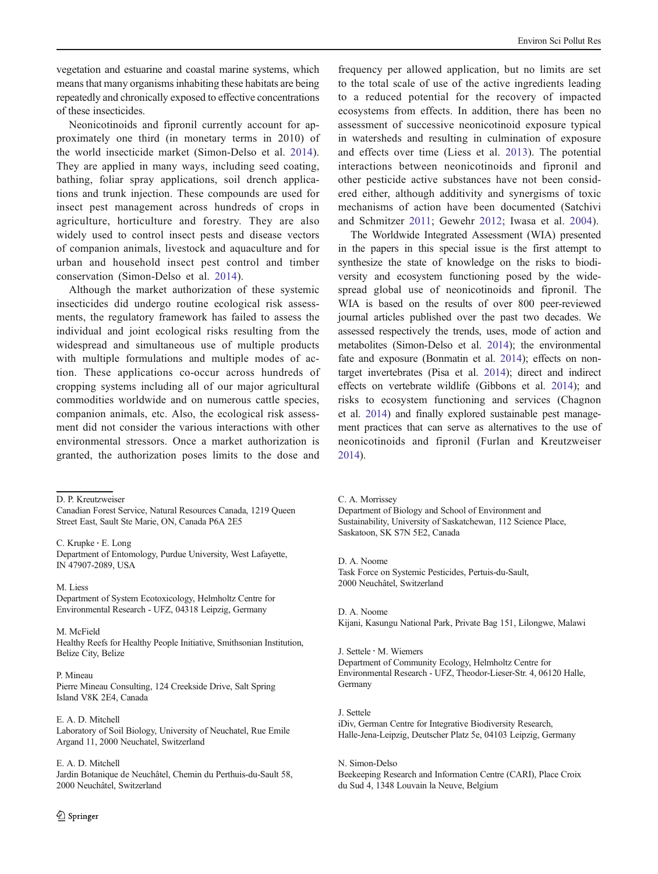vegetation and estuarine and coastal marine systems, which means that many organisms inhabiting these habitats are being repeatedly and chronically exposed to effective concentrations of these insecticides.

Neonicotinoids and fipronil currently account for approximately one third (in monetary terms in 2010) of the world insecticide market (Simon-Delso et al. [2014](#page-6-0)). They are applied in many ways, including seed coating, bathing, foliar spray applications, soil drench applications and trunk injection. These compounds are used for insect pest management across hundreds of crops in agriculture, horticulture and forestry. They are also widely used to control insect pests and disease vectors of companion animals, livestock and aquaculture and for urban and household insect pest control and timber conservation (Simon-Delso et al. [2014\)](#page-6-0).

Although the market authorization of these systemic insecticides did undergo routine ecological risk assessments, the regulatory framework has failed to assess the individual and joint ecological risks resulting from the widespread and simultaneous use of multiple products with multiple formulations and multiple modes of action. These applications co-occur across hundreds of cropping systems including all of our major agricultural commodities worldwide and on numerous cattle species, companion animals, etc. Also, the ecological risk assessment did not consider the various interactions with other environmental stressors. Once a market authorization is granted, the authorization poses limits to the dose and

D. P. Kreutzweiser

Canadian Forest Service, Natural Resources Canada, 1219 Queen Street East, Sault Ste Marie, ON, Canada P6A 2E5

C. Krupke : E. Long Department of Entomology, Purdue University, West Lafayette, IN 47907-2089, USA

#### M. Liess

Department of System Ecotoxicology, Helmholtz Centre for Environmental Research - UFZ, 04318 Leipzig, Germany

M. McField Healthy Reefs for Healthy People Initiative, Smithsonian Institution, Belize City, Belize

P. Mineau Pierre Mineau Consulting, 124 Creekside Drive, Salt Spring Island V8K 2E4, Canada

E. A. D. Mitchell Laboratory of Soil Biology, University of Neuchatel, Rue Emile Argand 11, 2000 Neuchatel, Switzerland

#### E. A. D. Mitchell

Jardin Botanique de Neuchâtel, Chemin du Perthuis-du-Sault 58, 2000 Neuchâtel, Switzerland

frequency per allowed application, but no limits are set to the total scale of use of the active ingredients leading to a reduced potential for the recovery of impacted ecosystems from effects. In addition, there has been no assessment of successive neonicotinoid exposure typical in watersheds and resulting in culmination of exposure and effects over time (Liess et al. [2013](#page-6-0)). The potential interactions between neonicotinoids and fipronil and other pesticide active substances have not been considered either, although additivity and synergisms of toxic mechanisms of action have been documented (Satchivi and Schmitzer [2011;](#page-6-0) Gewehr [2012;](#page-6-0) Iwasa et al. [2004](#page-6-0)).

The Worldwide Integrated Assessment (WIA) presented in the papers in this special issue is the first attempt to synthesize the state of knowledge on the risks to biodiversity and ecosystem functioning posed by the widespread global use of neonicotinoids and fipronil. The WIA is based on the results of over 800 peer-reviewed journal articles published over the past two decades. We assessed respectively the trends, uses, mode of action and metabolites (Simon-Delso et al. [2014\)](#page-6-0); the environmental fate and exposure (Bonmatin et al. [2014\)](#page-6-0); effects on nontarget invertebrates (Pisa et al. [2014\)](#page-6-0); direct and indirect effects on vertebrate wildlife (Gibbons et al. [2014\)](#page-6-0); and risks to ecosystem functioning and services (Chagnon et al. [2014\)](#page-6-0) and finally explored sustainable pest management practices that can serve as alternatives to the use of neonicotinoids and fipronil (Furlan and Kreutzweiser [2014\)](#page-6-0).

C. A. Morrissey Department of Biology and School of Environment and Sustainability, University of Saskatchewan, 112 Science Place, Saskatoon, SK S7N 5E2, Canada

D. A. Noome Task Force on Systemic Pesticides, Pertuis-du-Sault, 2000 Neuchâtel, Switzerland

D. A. Noome Kijani, Kasungu National Park, Private Bag 151, Lilongwe, Malawi

J. Settele : M. Wiemers Department of Community Ecology, Helmholtz Centre for Environmental Research - UFZ, Theodor-Lieser-Str. 4, 06120 Halle, Germany

J. Settele iDiv, German Centre for Integrative Biodiversity Research, Halle-Jena-Leipzig, Deutscher Platz 5e, 04103 Leipzig, Germany

N. Simon-Delso Beekeeping Research and Information Centre (CARI), Place Croix du Sud 4, 1348 Louvain la Neuve, Belgium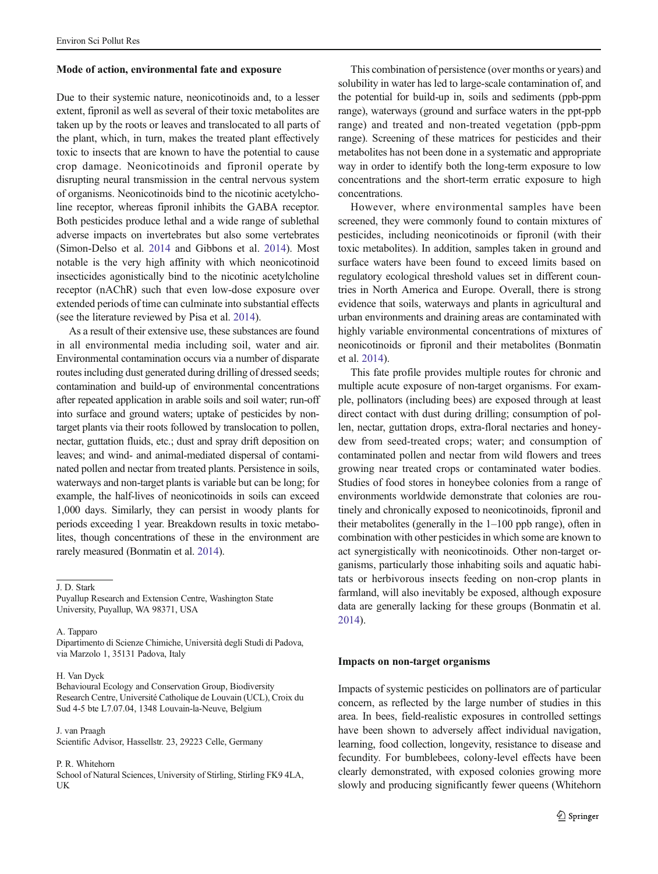#### Mode of action, environmental fate and exposure

Due to their systemic nature, neonicotinoids and, to a lesser extent, fipronil as well as several of their toxic metabolites are taken up by the roots or leaves and translocated to all parts of the plant, which, in turn, makes the treated plant effectively toxic to insects that are known to have the potential to cause crop damage. Neonicotinoids and fipronil operate by disrupting neural transmission in the central nervous system of organisms. Neonicotinoids bind to the nicotinic acetylcholine receptor, whereas fipronil inhibits the GABA receptor. Both pesticides produce lethal and a wide range of sublethal adverse impacts on invertebrates but also some vertebrates (Simon-Delso et al. [2014](#page-6-0) and Gibbons et al. [2014](#page-6-0)). Most notable is the very high affinity with which neonicotinoid insecticides agonistically bind to the nicotinic acetylcholine receptor (nAChR) such that even low-dose exposure over extended periods of time can culminate into substantial effects (see the literature reviewed by Pisa et al. [2014\)](#page-6-0).

As a result of their extensive use, these substances are found in all environmental media including soil, water and air. Environmental contamination occurs via a number of disparate routes including dust generated during drilling of dressed seeds; contamination and build-up of environmental concentrations after repeated application in arable soils and soil water; run-off into surface and ground waters; uptake of pesticides by nontarget plants via their roots followed by translocation to pollen, nectar, guttation fluids, etc.; dust and spray drift deposition on leaves; and wind- and animal-mediated dispersal of contaminated pollen and nectar from treated plants. Persistence in soils, waterways and non-target plants is variable but can be long; for example, the half-lives of neonicotinoids in soils can exceed 1,000 days. Similarly, they can persist in woody plants for periods exceeding 1 year. Breakdown results in toxic metabolites, though concentrations of these in the environment are rarely measured (Bonmatin et al. [2014](#page-6-0)).

J. D. Stark

#### A. Tapparo

#### H. Van Dyck

Behavioural Ecology and Conservation Group, Biodiversity Research Centre, Université Catholique de Louvain (UCL), Croix du Sud 4-5 bte L7.07.04, 1348 Louvain-la-Neuve, Belgium

#### J. van Praagh

Scientific Advisor, Hassellstr. 23, 29223 Celle, Germany

### P. R. Whitehorn

School of Natural Sciences, University of Stirling, Stirling FK9 4LA, UK

This combination of persistence (over months or years) and solubility in water has led to large-scale contamination of, and the potential for build-up in, soils and sediments (ppb-ppm range), waterways (ground and surface waters in the ppt-ppb range) and treated and non-treated vegetation (ppb-ppm range). Screening of these matrices for pesticides and their metabolites has not been done in a systematic and appropriate way in order to identify both the long-term exposure to low concentrations and the short-term erratic exposure to high concentrations.

However, where environmental samples have been screened, they were commonly found to contain mixtures of pesticides, including neonicotinoids or fipronil (with their toxic metabolites). In addition, samples taken in ground and surface waters have been found to exceed limits based on regulatory ecological threshold values set in different countries in North America and Europe. Overall, there is strong evidence that soils, waterways and plants in agricultural and urban environments and draining areas are contaminated with highly variable environmental concentrations of mixtures of neonicotinoids or fipronil and their metabolites (Bonmatin et al. [2014](#page-6-0)).

This fate profile provides multiple routes for chronic and multiple acute exposure of non-target organisms. For example, pollinators (including bees) are exposed through at least direct contact with dust during drilling; consumption of pollen, nectar, guttation drops, extra-floral nectaries and honeydew from seed-treated crops; water; and consumption of contaminated pollen and nectar from wild flowers and trees growing near treated crops or contaminated water bodies. Studies of food stores in honeybee colonies from a range of environments worldwide demonstrate that colonies are routinely and chronically exposed to neonicotinoids, fipronil and their metabolites (generally in the 1–100 ppb range), often in combination with other pesticides in which some are known to act synergistically with neonicotinoids. Other non-target organisms, particularly those inhabiting soils and aquatic habitats or herbivorous insects feeding on non-crop plants in farmland, will also inevitably be exposed, although exposure data are generally lacking for these groups (Bonmatin et al. [2014\)](#page-6-0).

## Impacts on non-target organisms

Impacts of systemic pesticides on pollinators are of particular concern, as reflected by the large number of studies in this area. In bees, field-realistic exposures in controlled settings have been shown to adversely affect individual navigation, learning, food collection, longevity, resistance to disease and fecundity. For bumblebees, colony-level effects have been clearly demonstrated, with exposed colonies growing more slowly and producing significantly fewer queens (Whitehorn

Puyallup Research and Extension Centre, Washington State University, Puyallup, WA 98371, USA

Dipartimento di Scienze Chimiche, Università degli Studi di Padova, via Marzolo 1, 35131 Padova, Italy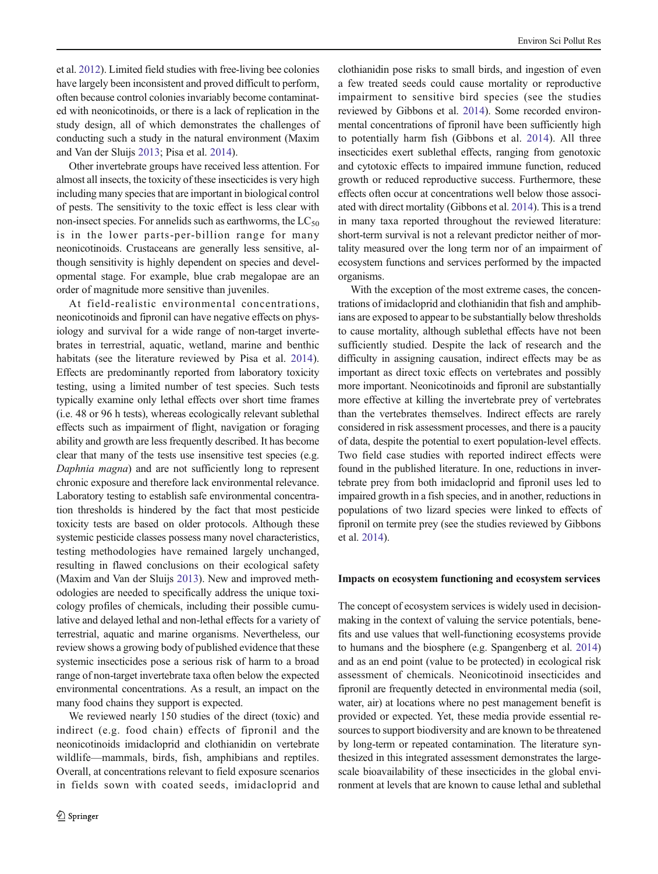et al. [2012\)](#page-6-0). Limited field studies with free-living bee colonies have largely been inconsistent and proved difficult to perform, often because control colonies invariably become contaminated with neonicotinoids, or there is a lack of replication in the study design, all of which demonstrates the challenges of conducting such a study in the natural environment (Maxim and Van der Sluijs [2013;](#page-6-0) Pisa et al. [2014\)](#page-6-0).

Other invertebrate groups have received less attention. For almost all insects, the toxicity of these insecticides is very high including many species that are important in biological control of pests. The sensitivity to the toxic effect is less clear with non-insect species. For annelids such as earthworms, the  $LC_{50}$ is in the lower parts-per-billion range for many neonicotinoids. Crustaceans are generally less sensitive, although sensitivity is highly dependent on species and developmental stage. For example, blue crab megalopae are an order of magnitude more sensitive than juveniles.

At field-realistic environmental concentrations, neonicotinoids and fipronil can have negative effects on physiology and survival for a wide range of non-target invertebrates in terrestrial, aquatic, wetland, marine and benthic habitats (see the literature reviewed by Pisa et al. [2014](#page-6-0)). Effects are predominantly reported from laboratory toxicity testing, using a limited number of test species. Such tests typically examine only lethal effects over short time frames (i.e. 48 or 96 h tests), whereas ecologically relevant sublethal effects such as impairment of flight, navigation or foraging ability and growth are less frequently described. It has become clear that many of the tests use insensitive test species (e.g. Daphnia magna) and are not sufficiently long to represent chronic exposure and therefore lack environmental relevance. Laboratory testing to establish safe environmental concentration thresholds is hindered by the fact that most pesticide toxicity tests are based on older protocols. Although these systemic pesticide classes possess many novel characteristics, testing methodologies have remained largely unchanged, resulting in flawed conclusions on their ecological safety (Maxim and Van der Sluijs [2013\)](#page-6-0). New and improved methodologies are needed to specifically address the unique toxicology profiles of chemicals, including their possible cumulative and delayed lethal and non-lethal effects for a variety of terrestrial, aquatic and marine organisms. Nevertheless, our review shows a growing body of published evidence that these systemic insecticides pose a serious risk of harm to a broad range of non-target invertebrate taxa often below the expected environmental concentrations. As a result, an impact on the many food chains they support is expected.

We reviewed nearly 150 studies of the direct (toxic) and indirect (e.g. food chain) effects of fipronil and the neonicotinoids imidacloprid and clothianidin on vertebrate wildlife—mammals, birds, fish, amphibians and reptiles. Overall, at concentrations relevant to field exposure scenarios in fields sown with coated seeds, imidacloprid and clothianidin pose risks to small birds, and ingestion of even a few treated seeds could cause mortality or reproductive impairment to sensitive bird species (see the studies reviewed by Gibbons et al. [2014\)](#page-6-0). Some recorded environmental concentrations of fipronil have been sufficiently high to potentially harm fish (Gibbons et al. [2014](#page-6-0)). All three insecticides exert sublethal effects, ranging from genotoxic and cytotoxic effects to impaired immune function, reduced growth or reduced reproductive success. Furthermore, these effects often occur at concentrations well below those associated with direct mortality (Gibbons et al. [2014\)](#page-6-0). This is a trend in many taxa reported throughout the reviewed literature: short-term survival is not a relevant predictor neither of mortality measured over the long term nor of an impairment of ecosystem functions and services performed by the impacted organisms.

With the exception of the most extreme cases, the concentrations of imidacloprid and clothianidin that fish and amphibians are exposed to appear to be substantially below thresholds to cause mortality, although sublethal effects have not been sufficiently studied. Despite the lack of research and the difficulty in assigning causation, indirect effects may be as important as direct toxic effects on vertebrates and possibly more important. Neonicotinoids and fipronil are substantially more effective at killing the invertebrate prey of vertebrates than the vertebrates themselves. Indirect effects are rarely considered in risk assessment processes, and there is a paucity of data, despite the potential to exert population-level effects. Two field case studies with reported indirect effects were found in the published literature. In one, reductions in invertebrate prey from both imidacloprid and fipronil uses led to impaired growth in a fish species, and in another, reductions in populations of two lizard species were linked to effects of fipronil on termite prey (see the studies reviewed by Gibbons et al. [2014](#page-6-0)).

## Impacts on ecosystem functioning and ecosystem services

The concept of ecosystem services is widely used in decisionmaking in the context of valuing the service potentials, benefits and use values that well-functioning ecosystems provide to humans and the biosphere (e.g. Spangenberg et al. [2014](#page-6-0)) and as an end point (value to be protected) in ecological risk assessment of chemicals. Neonicotinoid insecticides and fipronil are frequently detected in environmental media (soil, water, air) at locations where no pest management benefit is provided or expected. Yet, these media provide essential resources to support biodiversity and are known to be threatened by long-term or repeated contamination. The literature synthesized in this integrated assessment demonstrates the largescale bioavailability of these insecticides in the global environment at levels that are known to cause lethal and sublethal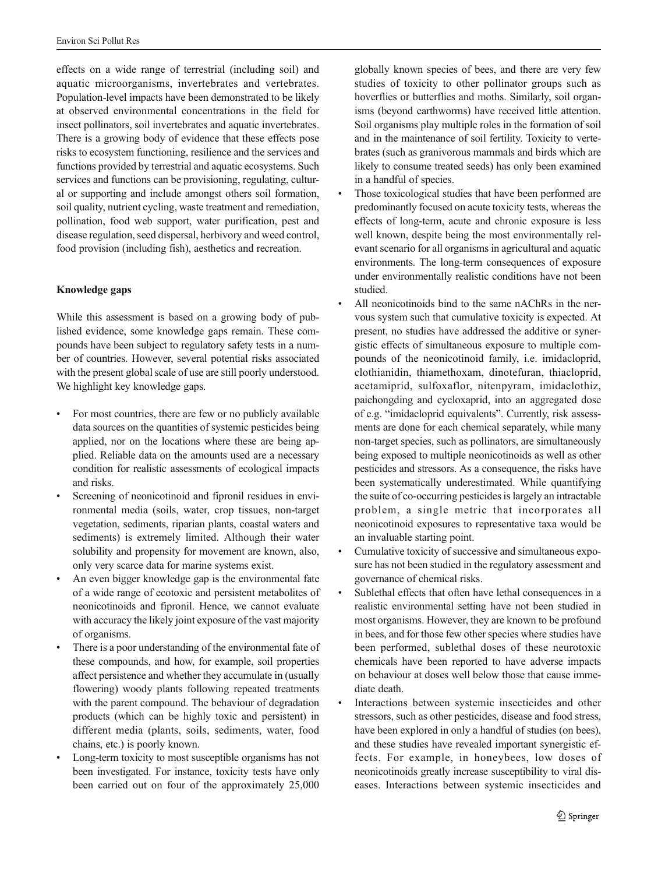effects on a wide range of terrestrial (including soil) and aquatic microorganisms, invertebrates and vertebrates. Population-level impacts have been demonstrated to be likely at observed environmental concentrations in the field for insect pollinators, soil invertebrates and aquatic invertebrates. There is a growing body of evidence that these effects pose risks to ecosystem functioning, resilience and the services and functions provided by terrestrial and aquatic ecosystems. Such services and functions can be provisioning, regulating, cultural or supporting and include amongst others soil formation, soil quality, nutrient cycling, waste treatment and remediation, pollination, food web support, water purification, pest and disease regulation, seed dispersal, herbivory and weed control, food provision (including fish), aesthetics and recreation.

## Knowledge gaps

While this assessment is based on a growing body of published evidence, some knowledge gaps remain. These compounds have been subject to regulatory safety tests in a number of countries. However, several potential risks associated with the present global scale of use are still poorly understood. We highlight key knowledge gaps.

- For most countries, there are few or no publicly available data sources on the quantities of systemic pesticides being applied, nor on the locations where these are being applied. Reliable data on the amounts used are a necessary condition for realistic assessments of ecological impacts and risks.
- Screening of neonicotinoid and fipronil residues in environmental media (soils, water, crop tissues, non-target vegetation, sediments, riparian plants, coastal waters and sediments) is extremely limited. Although their water solubility and propensity for movement are known, also, only very scarce data for marine systems exist.
- An even bigger knowledge gap is the environmental fate of a wide range of ecotoxic and persistent metabolites of neonicotinoids and fipronil. Hence, we cannot evaluate with accuracy the likely joint exposure of the vast majority of organisms.
- There is a poor understanding of the environmental fate of these compounds, and how, for example, soil properties affect persistence and whether they accumulate in (usually flowering) woody plants following repeated treatments with the parent compound. The behaviour of degradation products (which can be highly toxic and persistent) in different media (plants, soils, sediments, water, food chains, etc.) is poorly known.
- Long-term toxicity to most susceptible organisms has not been investigated. For instance, toxicity tests have only been carried out on four of the approximately 25,000

globally known species of bees, and there are very few studies of toxicity to other pollinator groups such as hoverflies or butterflies and moths. Similarly, soil organisms (beyond earthworms) have received little attention. Soil organisms play multiple roles in the formation of soil and in the maintenance of soil fertility. Toxicity to vertebrates (such as granivorous mammals and birds which are likely to consume treated seeds) has only been examined in a handful of species.

- Those toxicological studies that have been performed are predominantly focused on acute toxicity tests, whereas the effects of long-term, acute and chronic exposure is less well known, despite being the most environmentally relevant scenario for all organisms in agricultural and aquatic environments. The long-term consequences of exposure under environmentally realistic conditions have not been studied.
- All neonicotinoids bind to the same nAChRs in the nervous system such that cumulative toxicity is expected. At present, no studies have addressed the additive or synergistic effects of simultaneous exposure to multiple compounds of the neonicotinoid family, i.e. imidacloprid, clothianidin, thiamethoxam, dinotefuran, thiacloprid, acetamiprid, sulfoxaflor, nitenpyram, imidaclothiz, paichongding and cycloxaprid, into an aggregated dose of e.g. "imidacloprid equivalents". Currently, risk assessments are done for each chemical separately, while many non-target species, such as pollinators, are simultaneously being exposed to multiple neonicotinoids as well as other pesticides and stressors. As a consequence, the risks have been systematically underestimated. While quantifying the suite of co-occurring pesticides is largely an intractable problem, a single metric that incorporates all neonicotinoid exposures to representative taxa would be an invaluable starting point.
- Cumulative toxicity of successive and simultaneous exposure has not been studied in the regulatory assessment and governance of chemical risks.
- Sublethal effects that often have lethal consequences in a realistic environmental setting have not been studied in most organisms. However, they are known to be profound in bees, and for those few other species where studies have been performed, sublethal doses of these neurotoxic chemicals have been reported to have adverse impacts on behaviour at doses well below those that cause immediate death.
- Interactions between systemic insecticides and other stressors, such as other pesticides, disease and food stress, have been explored in only a handful of studies (on bees), and these studies have revealed important synergistic effects. For example, in honeybees, low doses of neonicotinoids greatly increase susceptibility to viral diseases. Interactions between systemic insecticides and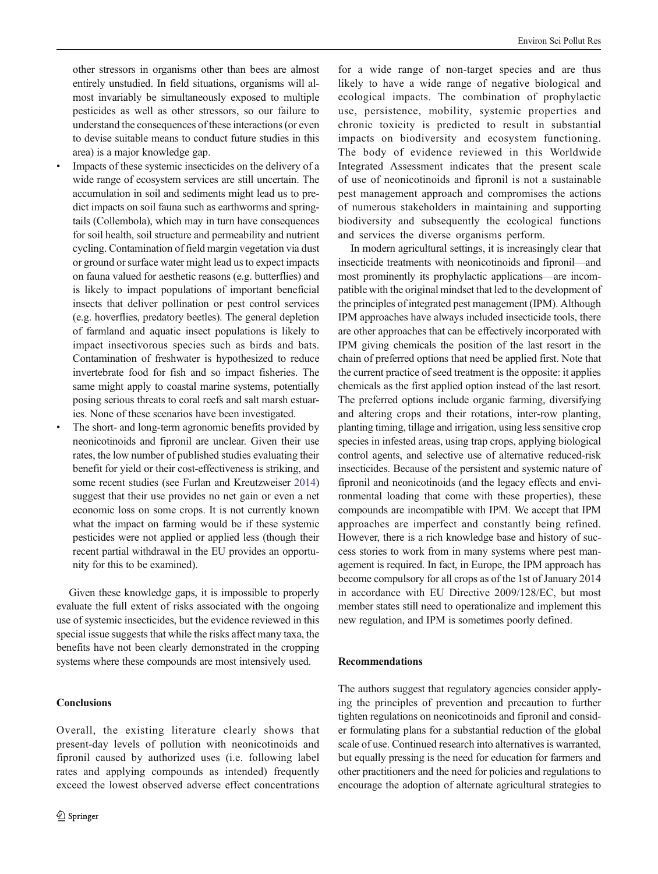other stressors in organisms other than bees are almost entirely unstudied. In field situations, organisms will almost invariably be simultaneously exposed to multiple pesticides as well as other stressors, so our failure to understand the consequences of these interactions (or even to devise suitable means to conduct future studies in this area) is a major knowledge gap.

- Impacts of these systemic insecticides on the delivery of a wide range of ecosystem services are still uncertain. The accumulation in soil and sediments might lead us to predict impacts on soil fauna such as earthworms and springtails (Collembola), which may in turn have consequences for soil health, soil structure and permeability and nutrient cycling. Contamination of field margin vegetation via dust or ground or surface water might lead us to expect impacts on fauna valued for aesthetic reasons (e.g. butterflies) and is likely to impact populations of important beneficial insects that deliver pollination or pest control services (e.g. hoverflies, predatory beetles). The general depletion of farmland and aquatic insect populations is likely to impact insectivorous species such as birds and bats. Contamination of freshwater is hypothesized to reduce invertebrate food for fish and so impact fisheries. The same might apply to coastal marine systems, potentially posing serious threats to coral reefs and salt marsh estuaries. None of these scenarios have been investigated.
- The short- and long-term agronomic benefits provided by neonicotinoids and fipronil are unclear. Given their use rates, the low number of published studies evaluating their benefit for yield or their cost-effectiveness is striking, and some recent studies (see Furlan and Kreutzweiser [2014\)](#page-6-0) suggest that their use provides no net gain or even a net economic loss on some crops. It is not currently known what the impact on farming would be if these systemic pesticides were not applied or applied less (though their recent partial withdrawal in the EU provides an opportunity for this to be examined).

Given these knowledge gaps, it is impossible to properly evaluate the full extent of risks associated with the ongoing use of systemic insecticides, but the evidence reviewed in this special issue suggests that while the risks affect many taxa, the benefits have not been clearly demonstrated in the cropping systems where these compounds are most intensively used.

## **Conclusions**

Overall, the existing literature clearly shows that present-day levels of pollution with neonicotinoids and fipronil caused by authorized uses (i.e. following label rates and applying compounds as intended) frequently exceed the lowest observed adverse effect concentrations

for a wide range of non-target species and are thus likely to have a wide range of negative biological and ecological impacts. The combination of prophylactic use, persistence, mobility, systemic properties and chronic toxicity is predicted to result in substantial impacts on biodiversity and ecosystem functioning. The body of evidence reviewed in this Worldwide Integrated Assessment indicates that the present scale of use of neonicotinoids and fipronil is not a sustainable pest management approach and compromises the actions of numerous stakeholders in maintaining and supporting biodiversity and subsequently the ecological functions and services the diverse organisms perform.

In modern agricultural settings, it is increasingly clear that insecticide treatments with neonicotinoids and fipronil—and most prominently its prophylactic applications—are incompatible with the original mindset that led to the development of the principles of integrated pest management (IPM). Although IPM approaches have always included insecticide tools, there are other approaches that can be effectively incorporated with IPM giving chemicals the position of the last resort in the chain of preferred options that need be applied first. Note that the current practice of seed treatment is the opposite: it applies chemicals as the first applied option instead of the last resort. The preferred options include organic farming, diversifying and altering crops and their rotations, inter-row planting, planting timing, tillage and irrigation, using less sensitive crop species in infested areas, using trap crops, applying biological control agents, and selective use of alternative reduced-risk insecticides. Because of the persistent and systemic nature of fipronil and neonicotinoids (and the legacy effects and environmental loading that come with these properties), these compounds are incompatible with IPM. We accept that IPM approaches are imperfect and constantly being refined. However, there is a rich knowledge base and history of success stories to work from in many systems where pest management is required. In fact, in Europe, the IPM approach has become compulsory for all crops as of the 1st of January 2014 in accordance with EU Directive 2009/128/EC, but most member states still need to operationalize and implement this new regulation, and IPM is sometimes poorly defined.

## Recommendations

The authors suggest that regulatory agencies consider applying the principles of prevention and precaution to further tighten regulations on neonicotinoids and fipronil and consider formulating plans for a substantial reduction of the global scale of use. Continued research into alternatives is warranted, but equally pressing is the need for education for farmers and other practitioners and the need for policies and regulations to encourage the adoption of alternate agricultural strategies to